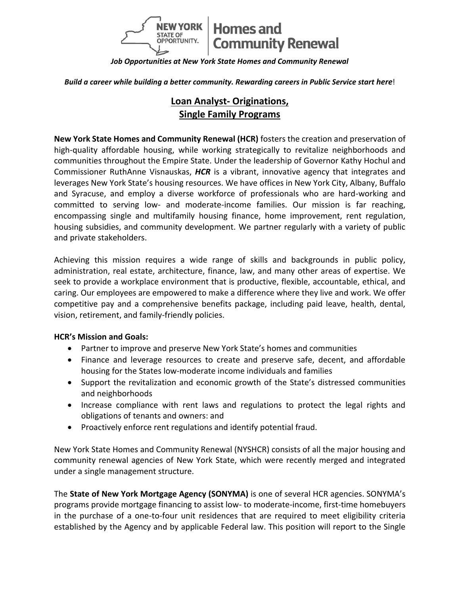

*Job Opportunities at New York State Homes and Community Renewal*

**Build a career while building a better community. Rewarding careers in Public Service start here!** 

# **Loan Analyst- Originations, Single Family Programs**

**New York State Homes and Community Renewal (HCR)** fosters the creation and preservation of high-quality affordable housing, while working strategically to revitalize neighborhoods and communities throughout the Empire State. Under the leadership of Governor Kathy Hochul and Commissioner RuthAnne Visnauskas, *HCR* is a vibrant, innovative agency that integrates and leverages New York State's housing resources. We have offices in New York City, Albany, Buffalo and Syracuse, and employ a diverse workforce of professionals who are hard-working and committed to serving low- and moderate-income families. Our mission is far reaching, encompassing single and multifamily housing finance, home improvement, rent regulation, housing subsidies, and community development. We partner regularly with a variety of public and private stakeholders.

Achieving this mission requires a wide range of skills and backgrounds in public policy, administration, real estate, architecture, finance, law, and many other areas of expertise. We seek to provide a workplace environment that is productive, flexible, accountable, ethical, and caring. Our employees are empowered to make a difference where they live and work. We offer competitive pay and a comprehensive benefits package, including paid leave, health, dental, vision, retirement, and family-friendly policies.

### **HCR's Mission and Goals:**

- Partner to improve and preserve New York State's homes and communities
- Finance and leverage resources to create and preserve safe, decent, and affordable housing for the States low-moderate income individuals and families
- Support the revitalization and economic growth of the State's distressed communities and neighborhoods
- Increase compliance with rent laws and regulations to protect the legal rights and obligations of tenants and owners: and
- Proactively enforce rent regulations and identify potential fraud.

New York State Homes and Community Renewal (NYSHCR) consists of all the major housing and community renewal agencies of New York State, which were recently merged and integrated under a single management structure.

The **State of New York Mortgage Agency (SONYMA)** is one of several HCR agencies. SONYMA's programs provide mortgage financing to assist low- to moderate-income, first-time homebuyers in the purchase of a one-to-four unit residences that are required to meet eligibility criteria established by the Agency and by applicable Federal law. This position will report to the Single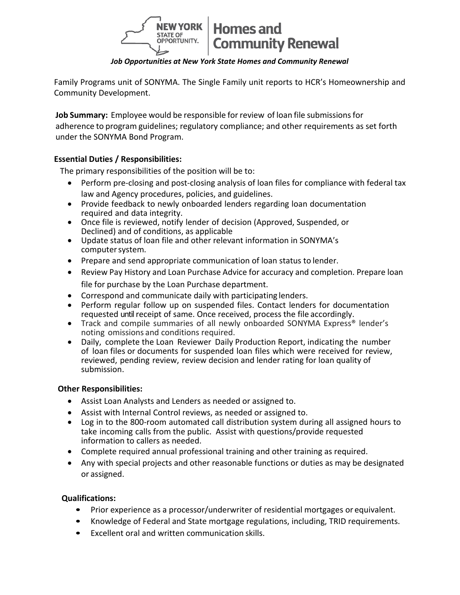

### *Job Opportunities at New York State Homes and Community Renewal*

Family Programs unit of SONYMA. The Single Family unit reports to HCR's Homeownership and Community Development.

**Job Summary:** Employee would be responsible for review of loan file submissionsfor adherence to program guidelines; regulatory compliance; and other requirements as set forth under the SONYMA Bond Program.

## **Essential Duties / Responsibilities:**

The primary responsibilities of the position will be to:

- Perform pre-closing and post-closing analysis of loan files for compliance with federal tax law and Agency procedures, policies, and guidelines.
- Provide feedback to newly onboarded lenders regarding loan documentation required and data integrity.
- Once file is reviewed, notify lender of decision (Approved, Suspended, or Declined) and of conditions, as applicable
- Update status of loan file and other relevant information in SONYMA's computer system.
- Prepare and send appropriate communication of loan status to lender.
- Review Pay History and Loan Purchase Advice for accuracy and completion. Prepare loan file for purchase by the Loan Purchase department.
- Correspond and communicate daily with participating lenders.
- Perform regular follow up on suspended files. Contact lenders for documentation requested until receipt of same. Once received, process the file accordingly.
- Track and compile summaries of all newly onboarded SONYMA Express<sup>®</sup> lender's noting omissions and conditions required.
- Daily, complete the Loan Reviewer Daily Production Report, indicating the number of loan files or documents for suspended loan files which were received for review, reviewed, pending review, review decision and lender rating for loan quality of submission.

### **Other Responsibilities:**

- Assist Loan Analysts and Lenders as needed or assigned to.
- Assist with Internal Control reviews, as needed or assigned to.
- Log in to the 800-room automated call distribution system during all assigned hours to take incoming calls from the public. Assist with questions/provide requested information to callers as needed.
- Complete required annual professional training and other training as required.
- Any with special projects and other reasonable functions or duties as may be designated or assigned.

### **Qualifications:**

- Prior experience as a processor/underwriter of residential mortgages or equivalent.
- Knowledge of Federal and State mortgage regulations, including, TRID requirements.
- Excellent oral and written communication skills.